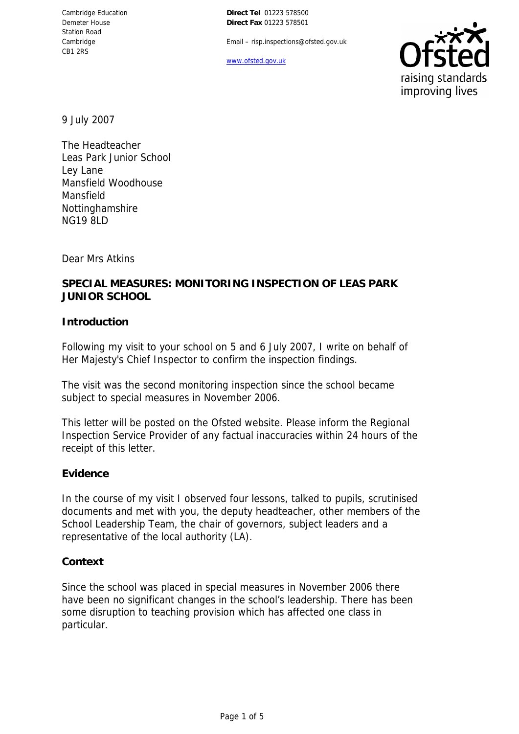**Direct Tel** 01223 578500 **Direct Fax** 01223 578501

Email – risp.inspections@ofsted.gov.uk

www.ofsted.gov.uk



9 July 2007

The Headteacher Leas Park Junior School Ley Lane Mansfield Woodhouse Mansfield Nottinghamshire NG19 8LD

Dear Mrs Atkins

# **SPECIAL MEASURES: MONITORING INSPECTION OF LEAS PARK JUNIOR SCHOOL**

#### **Introduction**

Following my visit to your school on 5 and 6 July 2007, I write on behalf of Her Majesty's Chief Inspector to confirm the inspection findings.

The visit was the second monitoring inspection since the school became subject to special measures in November 2006.

This letter will be posted on the Ofsted website. Please inform the Regional Inspection Service Provider of any factual inaccuracies within 24 hours of the receipt of this letter.

#### **Evidence**

In the course of my visit I observed four lessons, talked to pupils, scrutinised documents and met with you, the deputy headteacher, other members of the School Leadership Team, the chair of governors, subject leaders and a representative of the local authority (LA).

#### **Context**

Since the school was placed in special measures in November 2006 there have been no significant changes in the school's leadership. There has been some disruption to teaching provision which has affected one class in particular.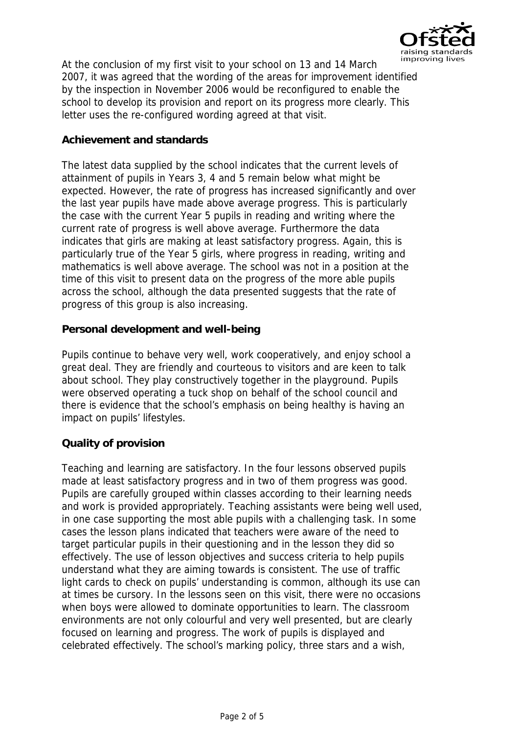

At the conclusion of my first visit to your school on 13 and 14 March 2007, it was agreed that the wording of the areas for improvement identified by the inspection in November 2006 would be reconfigured to enable the school to develop its provision and report on its progress more clearly. This letter uses the re-configured wording agreed at that visit.

## **Achievement and standards**

The latest data supplied by the school indicates that the current levels of attainment of pupils in Years 3, 4 and 5 remain below what might be expected. However, the rate of progress has increased significantly and over the last year pupils have made above average progress. This is particularly the case with the current Year 5 pupils in reading and writing where the current rate of progress is well above average. Furthermore the data indicates that girls are making at least satisfactory progress. Again, this is particularly true of the Year 5 girls, where progress in reading, writing and mathematics is well above average. The school was not in a position at the time of this visit to present data on the progress of the more able pupils across the school, although the data presented suggests that the rate of progress of this group is also increasing.

### **Personal development and well-being**

Pupils continue to behave very well, work cooperatively, and enjoy school a great deal. They are friendly and courteous to visitors and are keen to talk about school. They play constructively together in the playground. Pupils were observed operating a tuck shop on behalf of the school council and there is evidence that the school's emphasis on being healthy is having an impact on pupils' lifestyles.

#### **Quality of provision**

Teaching and learning are satisfactory. In the four lessons observed pupils made at least satisfactory progress and in two of them progress was good. Pupils are carefully grouped within classes according to their learning needs and work is provided appropriately. Teaching assistants were being well used, in one case supporting the most able pupils with a challenging task. In some cases the lesson plans indicated that teachers were aware of the need to target particular pupils in their questioning and in the lesson they did so effectively. The use of lesson objectives and success criteria to help pupils understand what they are aiming towards is consistent. The use of traffic light cards to check on pupils' understanding is common, although its use can at times be cursory. In the lessons seen on this visit, there were no occasions when boys were allowed to dominate opportunities to learn. The classroom environments are not only colourful and very well presented, but are clearly focused on learning and progress. The work of pupils is displayed and celebrated effectively. The school's marking policy, three stars and a wish,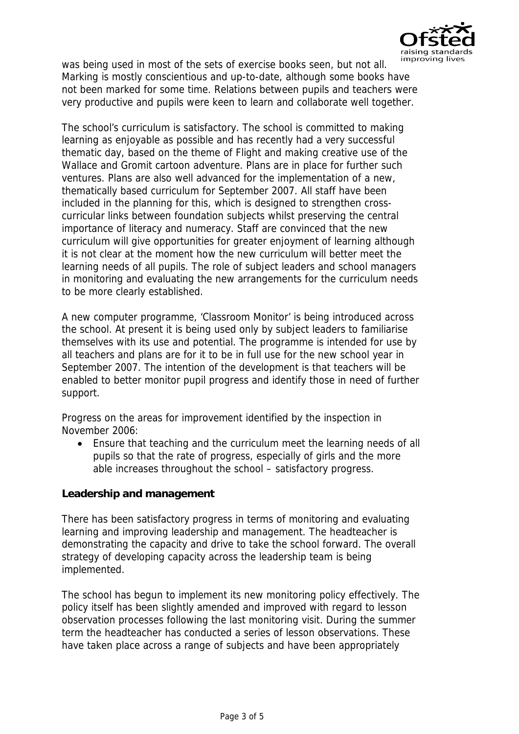

was being used in most of the sets of exercise books seen, but not all. Marking is mostly conscientious and up-to-date, although some books have not been marked for some time. Relations between pupils and teachers were very productive and pupils were keen to learn and collaborate well together.

The school's curriculum is satisfactory. The school is committed to making learning as enjoyable as possible and has recently had a very successful thematic day, based on the theme of Flight and making creative use of the Wallace and Gromit cartoon adventure. Plans are in place for further such ventures. Plans are also well advanced for the implementation of a new, thematically based curriculum for September 2007. All staff have been included in the planning for this, which is designed to strengthen crosscurricular links between foundation subjects whilst preserving the central importance of literacy and numeracy. Staff are convinced that the new curriculum will give opportunities for greater enjoyment of learning although it is not clear at the moment how the new curriculum will better meet the learning needs of all pupils. The role of subject leaders and school managers in monitoring and evaluating the new arrangements for the curriculum needs to be more clearly established.

A new computer programme, 'Classroom Monitor' is being introduced across the school. At present it is being used only by subject leaders to familiarise themselves with its use and potential. The programme is intended for use by all teachers and plans are for it to be in full use for the new school year in September 2007. The intention of the development is that teachers will be enabled to better monitor pupil progress and identify those in need of further support.

Progress on the areas for improvement identified by the inspection in November 2006:

 Ensure that teaching and the curriculum meet the learning needs of all pupils so that the rate of progress, especially of girls and the more able increases throughout the school – satisfactory progress.

**Leadership and management**

There has been satisfactory progress in terms of monitoring and evaluating learning and improving leadership and management. The headteacher is demonstrating the capacity and drive to take the school forward. The overall strategy of developing capacity across the leadership team is being implemented.

The school has begun to implement its new monitoring policy effectively. The policy itself has been slightly amended and improved with regard to lesson observation processes following the last monitoring visit. During the summer term the headteacher has conducted a series of lesson observations. These have taken place across a range of subjects and have been appropriately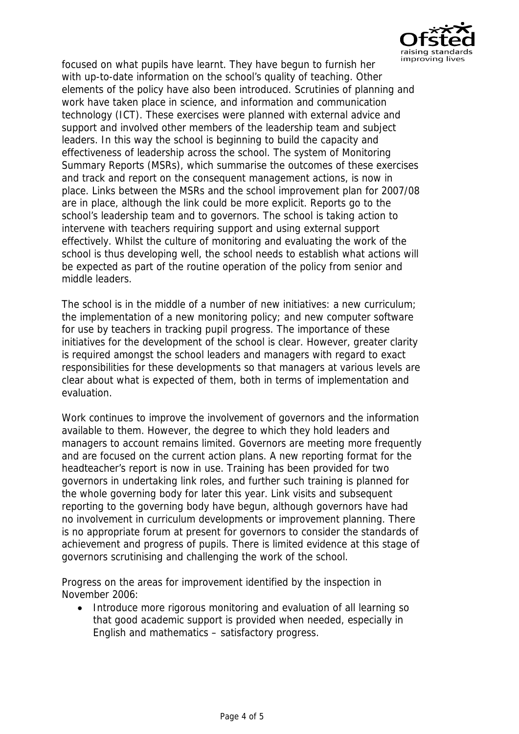

focused on what pupils have learnt. They have begun to furnish her with up-to-date information on the school's quality of teaching. Other elements of the policy have also been introduced. Scrutinies of planning and work have taken place in science, and information and communication technology (ICT). These exercises were planned with external advice and support and involved other members of the leadership team and subject leaders. In this way the school is beginning to build the capacity and effectiveness of leadership across the school. The system of Monitoring Summary Reports (MSRs), which summarise the outcomes of these exercises and track and report on the consequent management actions, is now in place. Links between the MSRs and the school improvement plan for 2007/08 are in place, although the link could be more explicit. Reports go to the school's leadership team and to governors. The school is taking action to intervene with teachers requiring support and using external support effectively. Whilst the culture of monitoring and evaluating the work of the school is thus developing well, the school needs to establish what actions will be expected as part of the routine operation of the policy from senior and middle leaders.

The school is in the middle of a number of new initiatives: a new curriculum; the implementation of a new monitoring policy; and new computer software for use by teachers in tracking pupil progress. The importance of these initiatives for the development of the school is clear. However, greater clarity is required amongst the school leaders and managers with regard to exact responsibilities for these developments so that managers at various levels are clear about what is expected of them, both in terms of implementation and evaluation.

Work continues to improve the involvement of governors and the information available to them. However, the degree to which they hold leaders and managers to account remains limited. Governors are meeting more frequently and are focused on the current action plans. A new reporting format for the headteacher's report is now in use. Training has been provided for two governors in undertaking link roles, and further such training is planned for the whole governing body for later this year. Link visits and subsequent reporting to the governing body have begun, although governors have had no involvement in curriculum developments or improvement planning. There is no appropriate forum at present for governors to consider the standards of achievement and progress of pupils. There is limited evidence at this stage of governors scrutinising and challenging the work of the school.

Progress on the areas for improvement identified by the inspection in November 2006:

• Introduce more rigorous monitoring and evaluation of all learning so that good academic support is provided when needed, especially in English and mathematics – satisfactory progress.